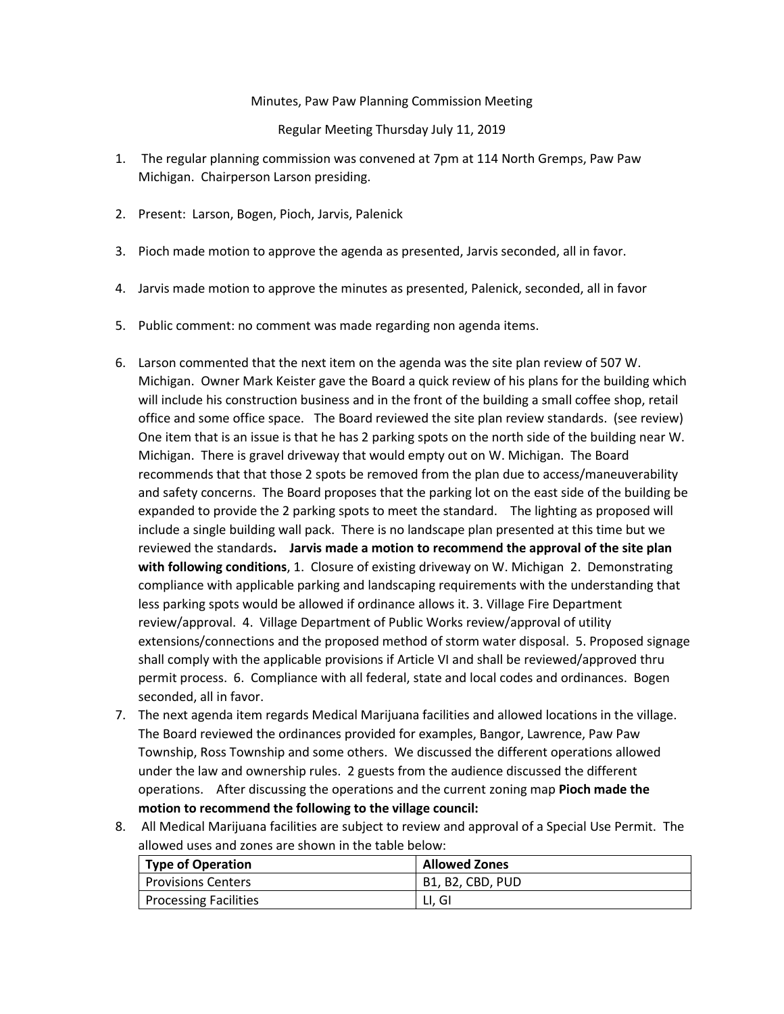## Minutes, Paw Paw Planning Commission Meeting

## Regular Meeting Thursday July 11, 2019

- 1. The regular planning commission was convened at 7pm at 114 North Gremps, Paw Paw Michigan. Chairperson Larson presiding.
- 2. Present: Larson, Bogen, Pioch, Jarvis, Palenick
- 3. Pioch made motion to approve the agenda as presented, Jarvis seconded, all in favor.
- 4. Jarvis made motion to approve the minutes as presented, Palenick, seconded, all in favor
- 5. Public comment: no comment was made regarding non agenda items.
- 6. Larson commented that the next item on the agenda was the site plan review of 507 W. Michigan. Owner Mark Keister gave the Board a quick review of his plans for the building which will include his construction business and in the front of the building a small coffee shop, retail office and some office space. The Board reviewed the site plan review standards. (see review) One item that is an issue is that he has 2 parking spots on the north side of the building near W. Michigan. There is gravel driveway that would empty out on W. Michigan. The Board recommends that that those 2 spots be removed from the plan due to access/maneuverability and safety concerns. The Board proposes that the parking lot on the east side of the building be expanded to provide the 2 parking spots to meet the standard. The lighting as proposed will include a single building wall pack. There is no landscape plan presented at this time but we reviewed the standards**. Jarvis made a motion to recommend the approval of the site plan with following conditions**, 1. Closure of existing driveway on W. Michigan 2. Demonstrating compliance with applicable parking and landscaping requirements with the understanding that less parking spots would be allowed if ordinance allows it. 3. Village Fire Department review/approval. 4. Village Department of Public Works review/approval of utility extensions/connections and the proposed method of storm water disposal. 5. Proposed signage shall comply with the applicable provisions if Article VI and shall be reviewed/approved thru permit process. 6. Compliance with all federal, state and local codes and ordinances. Bogen seconded, all in favor.
- 7. The next agenda item regards Medical Marijuana facilities and allowed locations in the village. The Board reviewed the ordinances provided for examples, Bangor, Lawrence, Paw Paw Township, Ross Township and some others. We discussed the different operations allowed under the law and ownership rules. 2 guests from the audience discussed the different operations. After discussing the operations and the current zoning map **Pioch made the motion to recommend the following to the village council:**
- 8. All Medical Marijuana facilities are subject to review and approval of a Special Use Permit. The allowed uses and zones are shown in the table below:

| Type of Operation         | <b>Allowed Zones</b> |
|---------------------------|----------------------|
| <b>Provisions Centers</b> | B1. B2. CBD. PUD     |
| Processing Facilities     | LI. GI               |